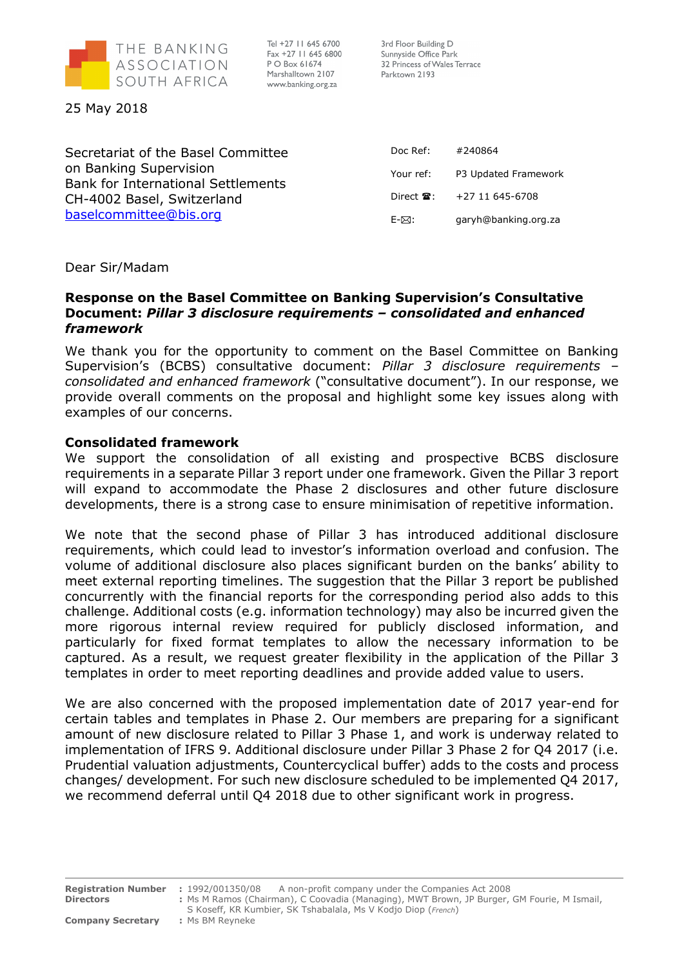

Tel +27 11 645 6700 Fax +27 11 645 6800 P O Box 61674 Marshalltown 2107 www.banking.org.za

3rd Floor Building D Sunnyside Office Park 32 Princess of Wales Terrace Parktown 2193

25 May 2018

Secretariat of the Basel Committee on Banking Supervision Bank for International Settlements CH-4002 Basel, Switzerland baselcommittee@bis.org

| Doc Ref:                        | #240864              |
|---------------------------------|----------------------|
| Your ref:                       | P3 Updated Framework |
| Direct $\mathbf{\mathcal{F}}$ : | $+27$ 11 645-6708    |
| F-⊠∙                            | garyh@banking.org.za |

Dear Sir/Madam

## Response on the Basel Committee on Banking Supervision's Consultative Document: Pillar 3 disclosure requirements – consolidated and enhanced framework

We thank you for the opportunity to comment on the Basel Committee on Banking Supervision's (BCBS) consultative document: Pillar 3 disclosure requirements – consolidated and enhanced framework ("consultative document"). In our response, we provide overall comments on the proposal and highlight some key issues along with examples of our concerns.

## Consolidated framework

We support the consolidation of all existing and prospective BCBS disclosure requirements in a separate Pillar 3 report under one framework. Given the Pillar 3 report will expand to accommodate the Phase 2 disclosures and other future disclosure developments, there is a strong case to ensure minimisation of repetitive information.

We note that the second phase of Pillar 3 has introduced additional disclosure requirements, which could lead to investor's information overload and confusion. The volume of additional disclosure also places significant burden on the banks' ability to meet external reporting timelines. The suggestion that the Pillar 3 report be published concurrently with the financial reports for the corresponding period also adds to this challenge. Additional costs (e.g. information technology) may also be incurred given the more rigorous internal review required for publicly disclosed information, and particularly for fixed format templates to allow the necessary information to be captured. As a result, we request greater flexibility in the application of the Pillar 3 templates in order to meet reporting deadlines and provide added value to users.

We are also concerned with the proposed implementation date of 2017 year-end for certain tables and templates in Phase 2. Our members are preparing for a significant amount of new disclosure related to Pillar 3 Phase 1, and work is underway related to implementation of IFRS 9. Additional disclosure under Pillar 3 Phase 2 for Q4 2017 (i.e. Prudential valuation adjustments, Countercyclical buffer) adds to the costs and process changes/ development. For such new disclosure scheduled to be implemented Q4 2017, we recommend deferral until Q4 2018 due to other significant work in progress.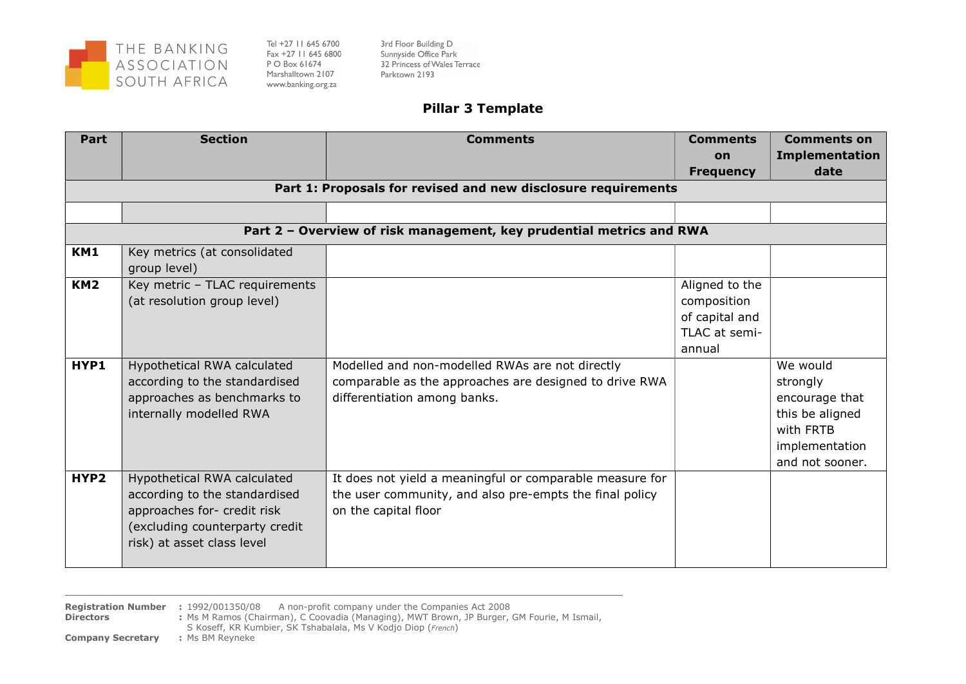

Tel +27 11 645 6700 Fax +27 11 645 6800 P O Box 61674 Marshalltown 2107 www.banking.org.za

3rd Floor Building D Sunnyside Office Park 32 Princess of Wales Terrace Parktown 2193

## Pillar 3 Template

| Part            | <b>Section</b>                                                                                                                                              | <b>Comments</b>                                                                                                                             | <b>Comments</b>                           | <b>Comments on</b>                                                                                          |
|-----------------|-------------------------------------------------------------------------------------------------------------------------------------------------------------|---------------------------------------------------------------------------------------------------------------------------------------------|-------------------------------------------|-------------------------------------------------------------------------------------------------------------|
|                 |                                                                                                                                                             |                                                                                                                                             | on                                        | <b>Implementation</b><br>date                                                                               |
|                 |                                                                                                                                                             | Part 1: Proposals for revised and new disclosure requirements                                                                               | <b>Frequency</b>                          |                                                                                                             |
|                 |                                                                                                                                                             |                                                                                                                                             |                                           |                                                                                                             |
|                 |                                                                                                                                                             |                                                                                                                                             |                                           |                                                                                                             |
|                 |                                                                                                                                                             | Part 2 - Overview of risk management, key prudential metrics and RWA                                                                        |                                           |                                                                                                             |
| KM1             | Key metrics (at consolidated<br>group level)                                                                                                                |                                                                                                                                             |                                           |                                                                                                             |
| KM <sub>2</sub> | Key metric - TLAC requirements<br>(at resolution group level)                                                                                               |                                                                                                                                             | Aligned to the<br>composition             |                                                                                                             |
|                 |                                                                                                                                                             |                                                                                                                                             | of capital and<br>TLAC at semi-<br>annual |                                                                                                             |
| HYP1            | Hypothetical RWA calculated<br>according to the standardised<br>approaches as benchmarks to<br>internally modelled RWA                                      | Modelled and non-modelled RWAs are not directly<br>comparable as the approaches are designed to drive RWA<br>differentiation among banks.   |                                           | We would<br>strongly<br>encourage that<br>this be aligned<br>with FRTB<br>implementation<br>and not sooner. |
| HYP2            | Hypothetical RWA calculated<br>according to the standardised<br>approaches for- credit risk<br>(excluding counterparty credit<br>risk) at asset class level | It does not yield a meaningful or comparable measure for<br>the user community, and also pre-empts the final policy<br>on the capital floor |                                           |                                                                                                             |

**Registration Number** : 1992/001350/08 A non-profit company under the Companies Act 2008<br>**Directors** : Ms M Ramos (Chairman), C Coovadia (Managing), MWT Brown, JP Burger, (

: Ms M Ramos (Chairman), C Coovadia (Managing), MWT Brown, JP Burger, GM Fourie, M Ismail,

S Koseff, KR Kumbier, SK Tshabalala, Ms V Kodjo Diop (French) : Ms BM Reyneke

**Company Secretary**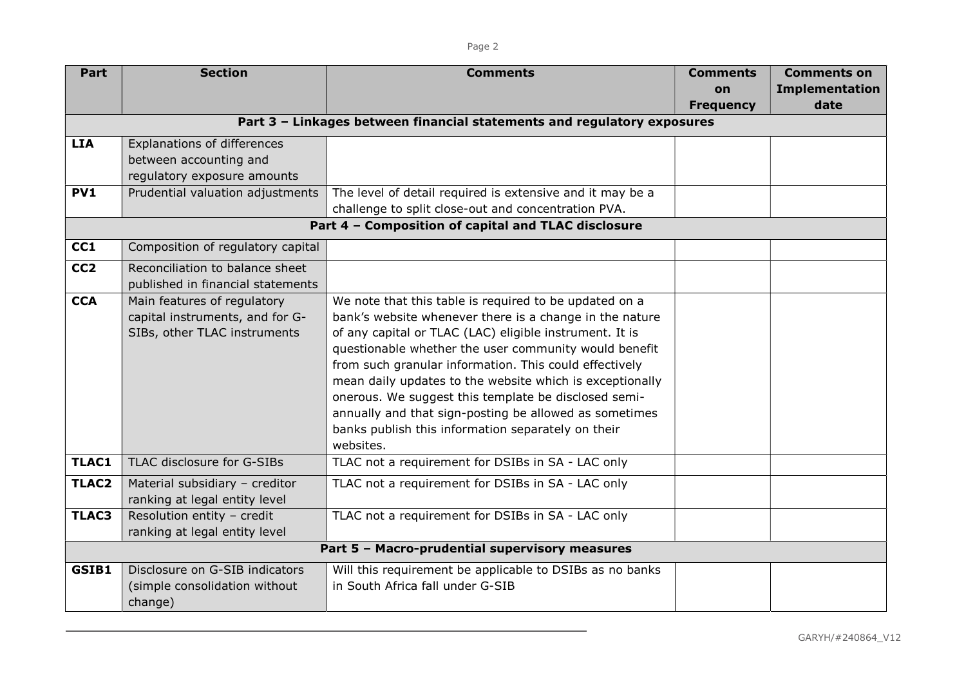| Part            | <b>Section</b>                                 | <b>Comments</b>                                                         | <b>Comments</b>  | <b>Comments on</b>    |  |
|-----------------|------------------------------------------------|-------------------------------------------------------------------------|------------------|-----------------------|--|
|                 |                                                |                                                                         | on               | <b>Implementation</b> |  |
|                 |                                                |                                                                         | <b>Frequency</b> | date                  |  |
|                 |                                                | Part 3 - Linkages between financial statements and regulatory exposures |                  |                       |  |
| <b>LIA</b>      | Explanations of differences                    |                                                                         |                  |                       |  |
|                 | between accounting and                         |                                                                         |                  |                       |  |
|                 | regulatory exposure amounts                    |                                                                         |                  |                       |  |
| <b>PV1</b>      | Prudential valuation adjustments               | The level of detail required is extensive and it may be a               |                  |                       |  |
|                 |                                                | challenge to split close-out and concentration PVA.                     |                  |                       |  |
|                 |                                                | Part 4 - Composition of capital and TLAC disclosure                     |                  |                       |  |
| CC1             | Composition of regulatory capital              |                                                                         |                  |                       |  |
| CC <sub>2</sub> | Reconciliation to balance sheet                |                                                                         |                  |                       |  |
|                 | published in financial statements              |                                                                         |                  |                       |  |
| <b>CCA</b>      | Main features of regulatory                    | We note that this table is required to be updated on a                  |                  |                       |  |
|                 | capital instruments, and for G-                | bank's website whenever there is a change in the nature                 |                  |                       |  |
|                 | SIBs, other TLAC instruments                   | of any capital or TLAC (LAC) eligible instrument. It is                 |                  |                       |  |
|                 |                                                | questionable whether the user community would benefit                   |                  |                       |  |
|                 |                                                | from such granular information. This could effectively                  |                  |                       |  |
|                 |                                                | mean daily updates to the website which is exceptionally                |                  |                       |  |
|                 |                                                | onerous. We suggest this template be disclosed semi-                    |                  |                       |  |
|                 |                                                | annually and that sign-posting be allowed as sometimes                  |                  |                       |  |
|                 |                                                | banks publish this information separately on their                      |                  |                       |  |
|                 |                                                | websites.                                                               |                  |                       |  |
| TLAC1           | TLAC disclosure for G-SIBs                     | TLAC not a requirement for DSIBs in SA - LAC only                       |                  |                       |  |
| <b>TLAC2</b>    | Material subsidiary - creditor                 | TLAC not a requirement for DSIBs in SA - LAC only                       |                  |                       |  |
|                 | ranking at legal entity level                  |                                                                         |                  |                       |  |
| TLAC3           | Resolution entity - credit                     | TLAC not a requirement for DSIBs in SA - LAC only                       |                  |                       |  |
|                 | ranking at legal entity level                  |                                                                         |                  |                       |  |
|                 | Part 5 - Macro-prudential supervisory measures |                                                                         |                  |                       |  |
| GSIB1           | Disclosure on G-SIB indicators                 | Will this requirement be applicable to DSIBs as no banks                |                  |                       |  |
|                 | (simple consolidation without                  | in South Africa fall under G-SIB                                        |                  |                       |  |
|                 | change)                                        |                                                                         |                  |                       |  |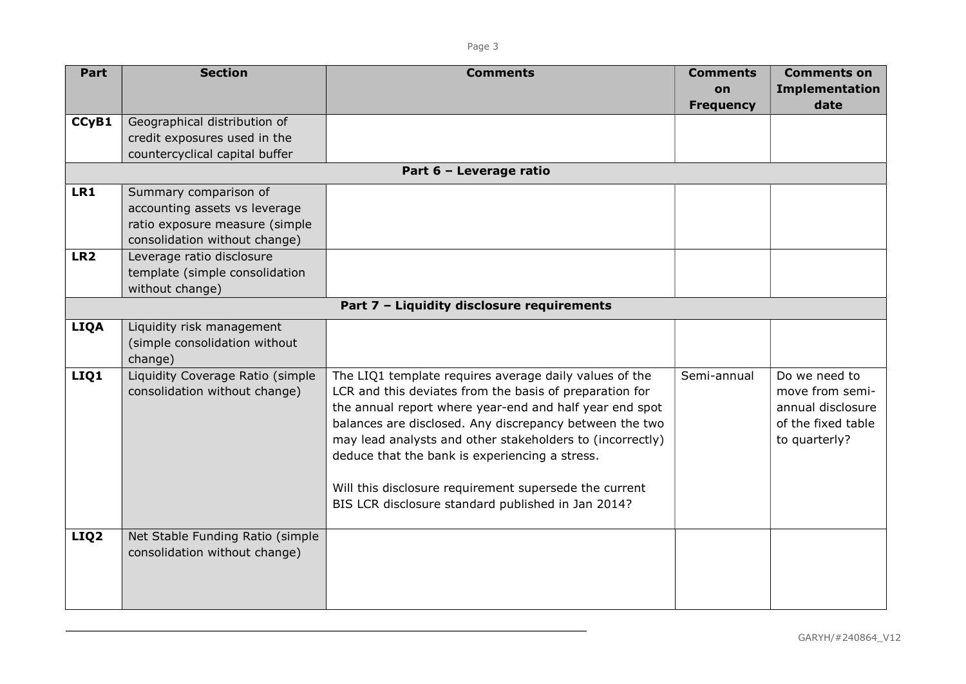| Part             | <b>Section</b>                             | <b>Comments</b>                                           | <b>Comments</b>  | <b>Comments on</b>    |
|------------------|--------------------------------------------|-----------------------------------------------------------|------------------|-----------------------|
|                  |                                            |                                                           | on               | <b>Implementation</b> |
|                  |                                            |                                                           | <b>Frequency</b> | date                  |
| CCyB1            | Geographical distribution of               |                                                           |                  |                       |
|                  | credit exposures used in the               |                                                           |                  |                       |
|                  | countercyclical capital buffer             |                                                           |                  |                       |
|                  |                                            | Part 6 - Leverage ratio                                   |                  |                       |
| LR1              | Summary comparison of                      |                                                           |                  |                       |
|                  | accounting assets vs leverage              |                                                           |                  |                       |
|                  | ratio exposure measure (simple             |                                                           |                  |                       |
|                  | consolidation without change)              |                                                           |                  |                       |
| LR <sub>2</sub>  | Leverage ratio disclosure                  |                                                           |                  |                       |
|                  | template (simple consolidation             |                                                           |                  |                       |
|                  | without change)                            |                                                           |                  |                       |
|                  | Part 7 - Liquidity disclosure requirements |                                                           |                  |                       |
| <b>LIQA</b>      | Liquidity risk management                  |                                                           |                  |                       |
|                  | (simple consolidation without              |                                                           |                  |                       |
|                  | change)                                    |                                                           |                  |                       |
| LIQ1             | Liquidity Coverage Ratio (simple           | The LIQ1 template requires average daily values of the    | Semi-annual      | Do we need to         |
|                  | consolidation without change)              | LCR and this deviates from the basis of preparation for   |                  | move from semi-       |
|                  |                                            | the annual report where year-end and half year end spot   |                  | annual disclosure     |
|                  |                                            | balances are disclosed. Any discrepancy between the two   |                  | of the fixed table    |
|                  |                                            | may lead analysts and other stakeholders to (incorrectly) |                  | to quarterly?         |
|                  |                                            | deduce that the bank is experiencing a stress.            |                  |                       |
|                  |                                            |                                                           |                  |                       |
|                  |                                            | Will this disclosure requirement supersede the current    |                  |                       |
|                  |                                            | BIS LCR disclosure standard published in Jan 2014?        |                  |                       |
|                  |                                            |                                                           |                  |                       |
| LIQ <sub>2</sub> | Net Stable Funding Ratio (simple           |                                                           |                  |                       |
|                  | consolidation without change)              |                                                           |                  |                       |
|                  |                                            |                                                           |                  |                       |
|                  |                                            |                                                           |                  |                       |
|                  |                                            |                                                           |                  |                       |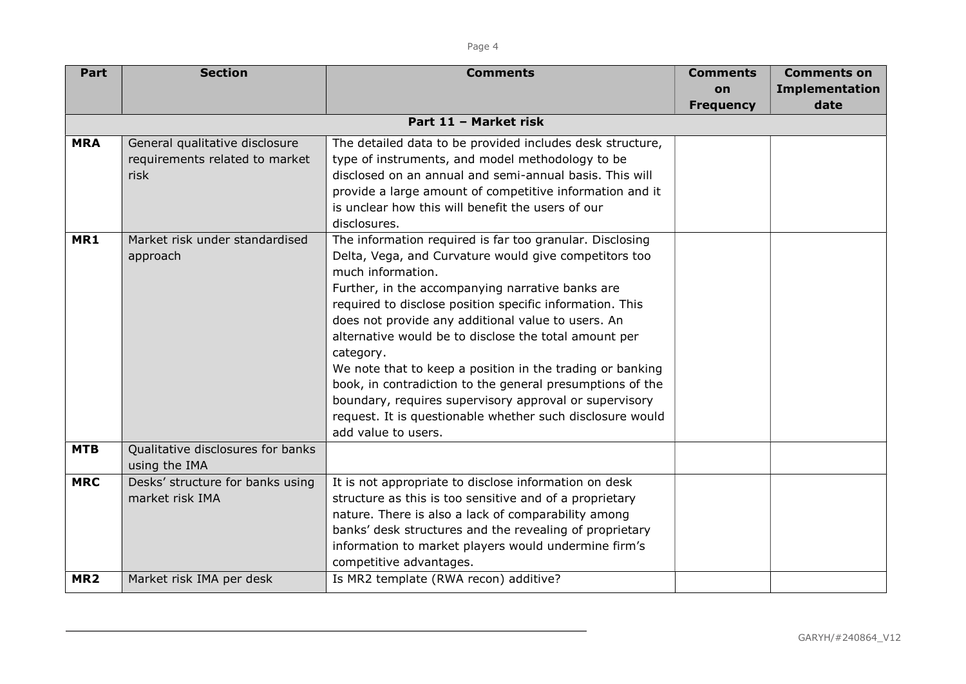| Part            | <b>Section</b>                    | <b>Comments</b>                                           | <b>Comments</b>  | <b>Comments on</b>    |
|-----------------|-----------------------------------|-----------------------------------------------------------|------------------|-----------------------|
|                 |                                   |                                                           | <b>on</b>        | <b>Implementation</b> |
|                 |                                   |                                                           | <b>Frequency</b> | date                  |
|                 |                                   | Part 11 - Market risk                                     |                  |                       |
| <b>MRA</b>      | General qualitative disclosure    | The detailed data to be provided includes desk structure, |                  |                       |
|                 | requirements related to market    | type of instruments, and model methodology to be          |                  |                       |
|                 | risk                              | disclosed on an annual and semi-annual basis. This will   |                  |                       |
|                 |                                   | provide a large amount of competitive information and it  |                  |                       |
|                 |                                   | is unclear how this will benefit the users of our         |                  |                       |
|                 |                                   | disclosures.                                              |                  |                       |
| MR1             | Market risk under standardised    | The information required is far too granular. Disclosing  |                  |                       |
|                 | approach                          | Delta, Vega, and Curvature would give competitors too     |                  |                       |
|                 |                                   | much information.                                         |                  |                       |
|                 |                                   | Further, in the accompanying narrative banks are          |                  |                       |
|                 |                                   | required to disclose position specific information. This  |                  |                       |
|                 |                                   | does not provide any additional value to users. An        |                  |                       |
|                 |                                   | alternative would be to disclose the total amount per     |                  |                       |
|                 |                                   | category.                                                 |                  |                       |
|                 |                                   | We note that to keep a position in the trading or banking |                  |                       |
|                 |                                   | book, in contradiction to the general presumptions of the |                  |                       |
|                 |                                   | boundary, requires supervisory approval or supervisory    |                  |                       |
|                 |                                   | request. It is questionable whether such disclosure would |                  |                       |
|                 |                                   | add value to users.                                       |                  |                       |
| <b>MTB</b>      | Qualitative disclosures for banks |                                                           |                  |                       |
|                 | using the IMA                     |                                                           |                  |                       |
| <b>MRC</b>      | Desks' structure for banks using  | It is not appropriate to disclose information on desk     |                  |                       |
|                 | market risk IMA                   | structure as this is too sensitive and of a proprietary   |                  |                       |
|                 |                                   | nature. There is also a lack of comparability among       |                  |                       |
|                 |                                   | banks' desk structures and the revealing of proprietary   |                  |                       |
|                 |                                   | information to market players would undermine firm's      |                  |                       |
|                 |                                   | competitive advantages.                                   |                  |                       |
| MR <sub>2</sub> | Market risk IMA per desk          | Is MR2 template (RWA recon) additive?                     |                  |                       |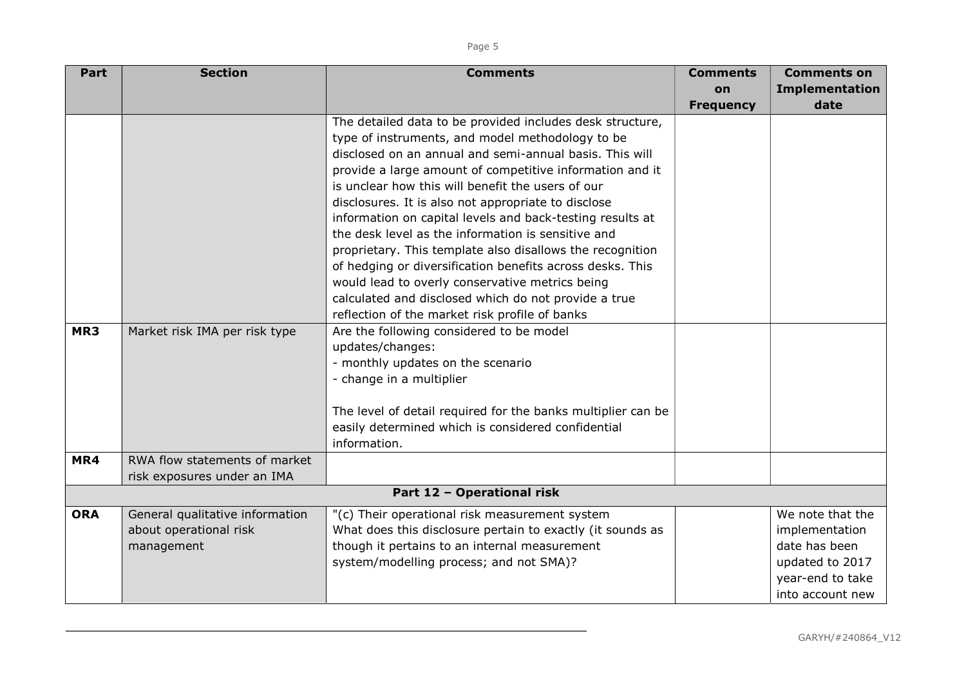| $\sim$<br>$\sim$ | $\sim$ |
|------------------|--------|
|------------------|--------|

| Part                       | <b>Section</b>                  | <b>Comments</b>                                              | <b>Comments</b>  | <b>Comments on</b>    |
|----------------------------|---------------------------------|--------------------------------------------------------------|------------------|-----------------------|
|                            |                                 |                                                              | on               | <b>Implementation</b> |
|                            |                                 |                                                              | <b>Frequency</b> | date                  |
|                            |                                 | The detailed data to be provided includes desk structure,    |                  |                       |
|                            |                                 | type of instruments, and model methodology to be             |                  |                       |
|                            |                                 | disclosed on an annual and semi-annual basis. This will      |                  |                       |
|                            |                                 | provide a large amount of competitive information and it     |                  |                       |
|                            |                                 | is unclear how this will benefit the users of our            |                  |                       |
|                            |                                 | disclosures. It is also not appropriate to disclose          |                  |                       |
|                            |                                 | information on capital levels and back-testing results at    |                  |                       |
|                            |                                 | the desk level as the information is sensitive and           |                  |                       |
|                            |                                 | proprietary. This template also disallows the recognition    |                  |                       |
|                            |                                 | of hedging or diversification benefits across desks. This    |                  |                       |
|                            |                                 | would lead to overly conservative metrics being              |                  |                       |
|                            |                                 | calculated and disclosed which do not provide a true         |                  |                       |
|                            |                                 | reflection of the market risk profile of banks               |                  |                       |
| MR3                        | Market risk IMA per risk type   | Are the following considered to be model                     |                  |                       |
|                            |                                 | updates/changes:                                             |                  |                       |
|                            |                                 | - monthly updates on the scenario                            |                  |                       |
|                            |                                 | - change in a multiplier                                     |                  |                       |
|                            |                                 | The level of detail required for the banks multiplier can be |                  |                       |
|                            |                                 | easily determined which is considered confidential           |                  |                       |
|                            |                                 | information.                                                 |                  |                       |
| MR4                        | RWA flow statements of market   |                                                              |                  |                       |
|                            | risk exposures under an IMA     |                                                              |                  |                       |
| Part 12 - Operational risk |                                 |                                                              |                  |                       |
| <b>ORA</b>                 | General qualitative information | "(c) Their operational risk measurement system               |                  | We note that the      |
|                            | about operational risk          | What does this disclosure pertain to exactly (it sounds as   |                  | implementation        |
|                            | management                      | though it pertains to an internal measurement                |                  | date has been         |
|                            |                                 | system/modelling process; and not SMA)?                      |                  | updated to 2017       |
|                            |                                 |                                                              |                  | year-end to take      |
|                            |                                 |                                                              |                  | into account new      |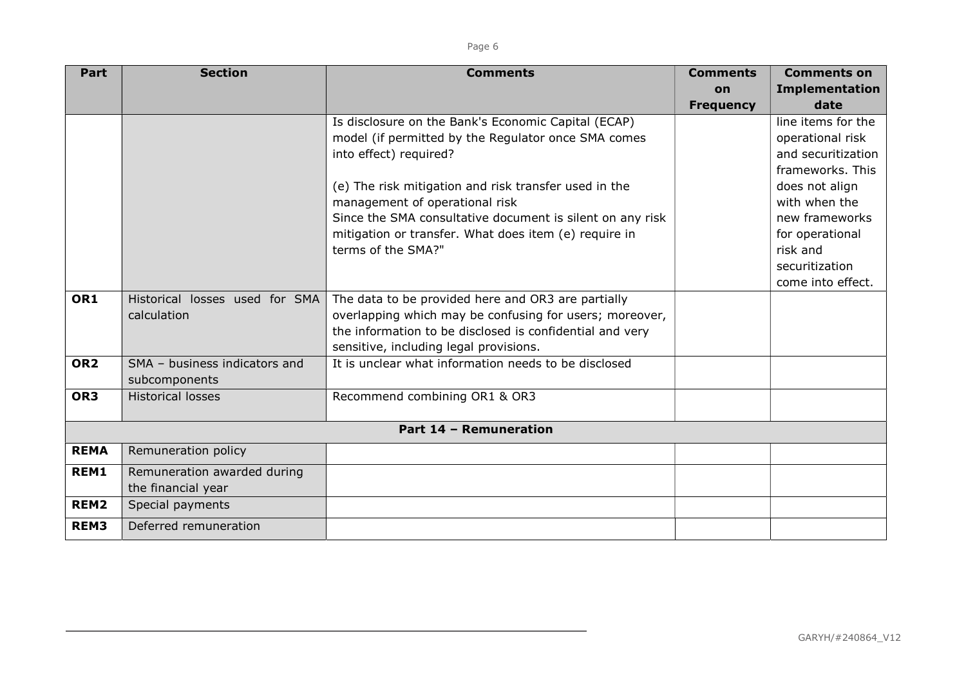| ۰.<br>×<br> |
|-------------|
|-------------|

| Part             | <b>Section</b>                 | <b>Comments</b>                                           | <b>Comments</b>  | <b>Comments on</b>    |
|------------------|--------------------------------|-----------------------------------------------------------|------------------|-----------------------|
|                  |                                |                                                           | on               | <b>Implementation</b> |
|                  |                                |                                                           | <b>Frequency</b> | date                  |
|                  |                                | Is disclosure on the Bank's Economic Capital (ECAP)       |                  | line items for the    |
|                  |                                | model (if permitted by the Regulator once SMA comes       |                  | operational risk      |
|                  |                                | into effect) required?                                    |                  | and securitization    |
|                  |                                |                                                           |                  | frameworks. This      |
|                  |                                | (e) The risk mitigation and risk transfer used in the     |                  | does not align        |
|                  |                                | management of operational risk                            |                  | with when the         |
|                  |                                | Since the SMA consultative document is silent on any risk |                  | new frameworks        |
|                  |                                | mitigation or transfer. What does item (e) require in     |                  | for operational       |
|                  |                                | terms of the SMA?"                                        |                  | risk and              |
|                  |                                |                                                           |                  | securitization        |
|                  |                                |                                                           |                  | come into effect.     |
| OR1              | Historical losses used for SMA | The data to be provided here and OR3 are partially        |                  |                       |
|                  | calculation                    | overlapping which may be confusing for users; moreover,   |                  |                       |
|                  |                                | the information to be disclosed is confidential and very  |                  |                       |
|                  |                                | sensitive, including legal provisions.                    |                  |                       |
| OR <sub>2</sub>  | SMA - business indicators and  | It is unclear what information needs to be disclosed      |                  |                       |
|                  | subcomponents                  |                                                           |                  |                       |
| OR <sub>3</sub>  | <b>Historical losses</b>       | Recommend combining OR1 & OR3                             |                  |                       |
|                  |                                |                                                           |                  |                       |
|                  |                                | Part 14 - Remuneration                                    |                  |                       |
| <b>REMA</b>      | Remuneration policy            |                                                           |                  |                       |
| REM1             | Remuneration awarded during    |                                                           |                  |                       |
|                  | the financial year             |                                                           |                  |                       |
| REM <sub>2</sub> | Special payments               |                                                           |                  |                       |
| REM3             | Deferred remuneration          |                                                           |                  |                       |